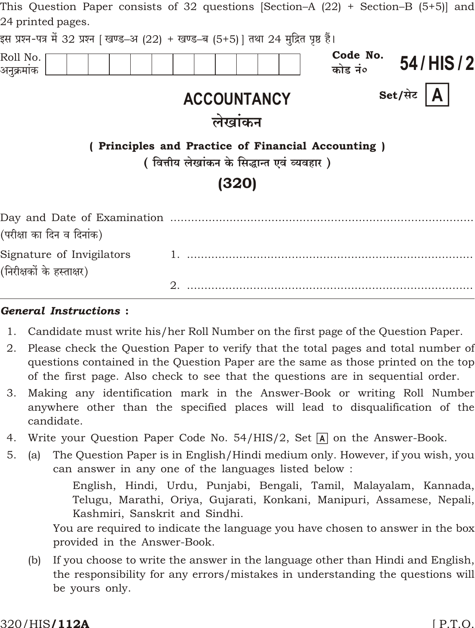| This Question Paper consists of 32 questions [Section–A (22) + Section–B (5+5)] and<br>24 printed pages. |                                                                                                 |                                 |  |  |  |  |
|----------------------------------------------------------------------------------------------------------|-------------------------------------------------------------------------------------------------|---------------------------------|--|--|--|--|
| इस प्रश्न-पत्र में 32 प्रश्न   खण्ड–अ (22) + खण्ड–ब (5+5)   तथा 24 मुद्रित पृष्ठ हैं।                    |                                                                                                 |                                 |  |  |  |  |
| Roll No.<br>अनुक्रमांक                                                                                   |                                                                                                 | Code No.<br>54/HIS/2<br>कोड नं० |  |  |  |  |
|                                                                                                          | <b>ACCOUNTANCY</b>                                                                              | Set/सेट<br>A                    |  |  |  |  |
|                                                                                                          | लेखांकन                                                                                         |                                 |  |  |  |  |
|                                                                                                          | (Principles and Practice of Financial Accounting)<br>(वित्तीय लेखांकन के सिद्धान्त एवं व्यवहार) |                                 |  |  |  |  |
| (320)                                                                                                    |                                                                                                 |                                 |  |  |  |  |
| (परीक्षा का दिन व दिनांक)                                                                                |                                                                                                 |                                 |  |  |  |  |
| Signature of Invigilators<br>(निरीक्षकों के हस्ताक्षर)                                                   |                                                                                                 |                                 |  |  |  |  |
|                                                                                                          | 2.                                                                                              |                                 |  |  |  |  |

### **General Instructions:**

- $1.$ Candidate must write his/her Roll Number on the first page of the Question Paper.
- Please check the Question Paper to verify that the total pages and total number of 2. questions contained in the Question Paper are the same as those printed on the top of the first page. Also check to see that the questions are in sequential order.
- Making any identification mark in the Answer-Book or writing Roll Number 3. anywhere other than the specified places will lead to disqualification of the candidate.
- Write your Question Paper Code No. 54/HIS/2, Set A on the Answer-Book. 4.
- The Question Paper is in English/Hindi medium only. However, if you wish, you  $5<sub>1</sub>$  $(a)$ can answer in any one of the languages listed below:

English, Hindi, Urdu, Punjabi, Bengali, Tamil, Malayalam, Kannada, Telugu, Marathi, Oriya, Gujarati, Konkani, Manipuri, Assamese, Nepali, Kashmiri, Sanskrit and Sindhi.

You are required to indicate the language you have chosen to answer in the box provided in the Answer-Book.

If you choose to write the answer in the language other than Hindi and English,  $(b)$ the responsibility for any errors/mistakes in understanding the questions will be yours only.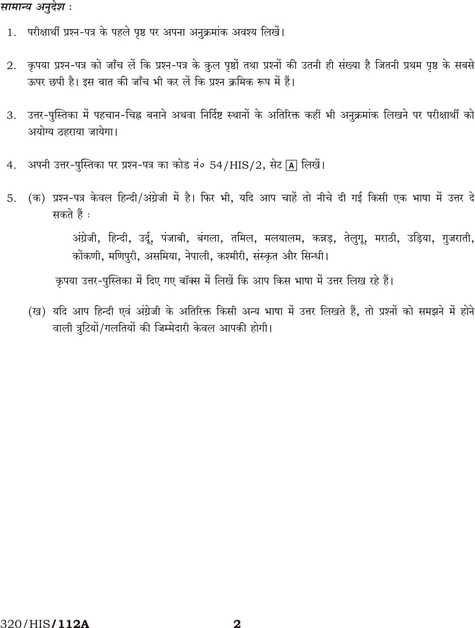## सामान्य अनुदेश :

- परीक्षार्थी प्रश्न-पत्र के पहले पृष्ठ पर अपना अनुक्रमांक अवश्य लिखें। 1.
- कृपया प्रश्न-पत्र को जाँच लें कि प्रश्न-पत्र के कुल पृष्ठों तथा प्रश्नों की उतनी ही संख्या है जितनी प्रथम पृष्ठ के सबसे 2. ऊपर छपी है। इस बात की जाँच भी कर लें कि प्रश्न क्रमिक रूप में हैं।
- उत्तर-पुस्तिका में पहचान-चिह्न बनाने अथवा निर्दिष्ट स्थानों के अतिरिक्त कहीं भी अनुक्रमांक लिखने पर परीक्षार्थी को 3. अयोग्य ठहराया जायेगा।
- अपनी उत्तर-पुस्तिका पर प्रश्न-पत्र का कोड नं० 54/HIS/2, सेट [A] लिखें। 4.
- (क) प्रश्न-पत्र केवल हिन्दी/अंग्रेजी में है। फिर भी, यदि आप चाहें तो नीचे दी गई किसी एक भाषा में उत्तर दे  $5.$ सकते हैं :

अंग्रेजी, हिन्दी, उर्दू, पंजाबी, बंगला, तमिल, मलयालम, कन्नड़, तेलुगू, मराठी, उड़िया, गुजराती, कोंकणी, मणिपरी, असमिया, नेपाली, कश्मीरी, संस्कृत और सिन्धी।

कृपया उत्तर-पुस्तिका में दिए गए बॉक्स में लिखें कि आप किस भाषा में उत्तर लिख रहे हैं।

(ख) यदि आप हिन्दी एवं अंग्रेजी के अतिरिक्त किसी अन्य भाषा में उत्तर लिखते हैं, तो प्रश्नों को समझने में होने वाली त्रटियों/गलतियों की जिम्मेदारी केवल आपकी होगी।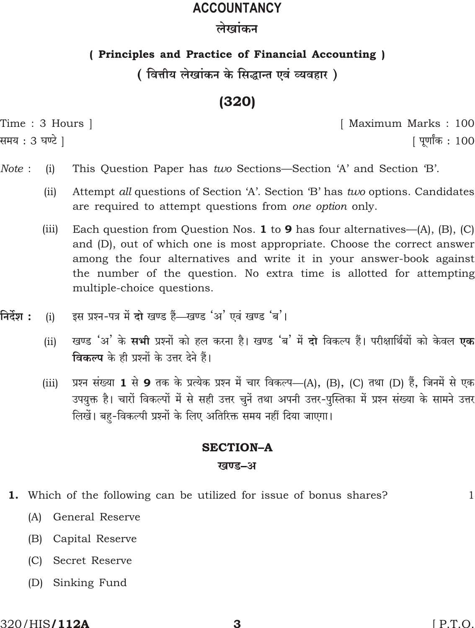# **ACCOUNTANCY**

## लेखांकन

## (Principles and Practice of Financial Accounting)

## ( वित्तीय लेखांकन के सिद्धान्त एवं व्यवहार )

# $(320)$

Time: 3 Hours |

समय : 3 घण्टे ]

[ Maximum Marks: 100 <u> ।</u> पर्णांक : 100

- Note:  $(i)$ This Question Paper has two Sections—Section 'A' and Section 'B'.
	- $(ii)$ Attempt all questions of Section 'A'. Section 'B' has two options. Candidates are required to attempt questions from one option only.
	- Each question from Question Nos.  $1$  to  $9$  has four alternatives-(A), (B), (C)  $(iii)$ and (D), out of which one is most appropriate. Choose the correct answer among the four alternatives and write it in your answer-book against the number of the question. No extra time is allotted for attempting multiple-choice questions.
- निर्देश : इस प्रश्न-पत्र में दो खण्ड हैं—खण्ड 'अ' एवं खण्ड 'ब'।  $(i)$ 
	- खण्ड 'अ' के **सभी** प्रश्नों को हल करना है। खण्ड 'ब' में **दो** विकल्प हैं। परीक्षार्थियों को केवल **एक**  $(ii)$ विकल्प के ही प्रश्नों के उत्तर देने हैं।
	- प्रश्न संख्या 1 से 9 तक के प्रत्येक प्रश्न में चार विकल्प—(A), (B), (C) तथा (D) हैं, जिनमें से एक  $(iii)$ उपयुक्त है। चारों विकल्पों में से सही उत्तर चुनें तथा अपनी उत्तर-पुस्तिका में प्रश्न संख्या के सामने उत्तर लिखें। बह-विकल्पी प्रश्नों के लिए अतिरिक्त समय नहीं दिया जाएगा।

## **SECTION-A**

## खण्ड-अ

1. Which of the following can be utilized for issue of bonus shares?

 $\mathbf{1}$ 

- General Reserve  $(A)$
- Capital Reserve  $(B)$
- (C) Secret Reserve
- $(D)$ Sinking Fund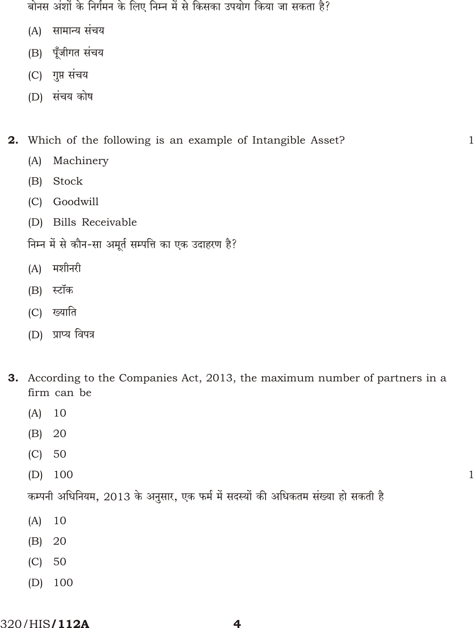बोनस अंशों के निर्गमन के लिए निम्न में से किसका उपयोग किया जा सकता है?

- (A) सामान्य संचय
- (B) पूँजीगत संचय
- (C) गुप्त संचय
- (D) संचय कोष

Which of the following is an example of Intangible Asset?  $2<sub>1</sub>$ 

- $(A)$ Machinery
- $(B)$ **Stock**
- (C) Goodwill
- (D) Bills Receivable
- निम्न में से कौन-सा अमूर्त सम्पत्ति का एक उदाहरण है?
- (A) मशीनरी
- (B) स्टॉक
- (C) ख्याति
- (D) प्राप्य विपत्र
- 3. According to the Companies Act, 2013, the maximum number of partners in a firm can be

 $\mathbf{1}$ 

 $\mathbf{1}$ 

- $(A)$ 10
- $(B)$ 20
- $(C)$ 50
- $(D)$ 100

कम्पनी अधिनियम, 2013 के अनुसार, एक फर्म में सदस्यों की अधिकतम संख्या हो सकती है

- $(A)$ 10
- $(B)$ 20
- $(C)$ 50
- 100  $(D)$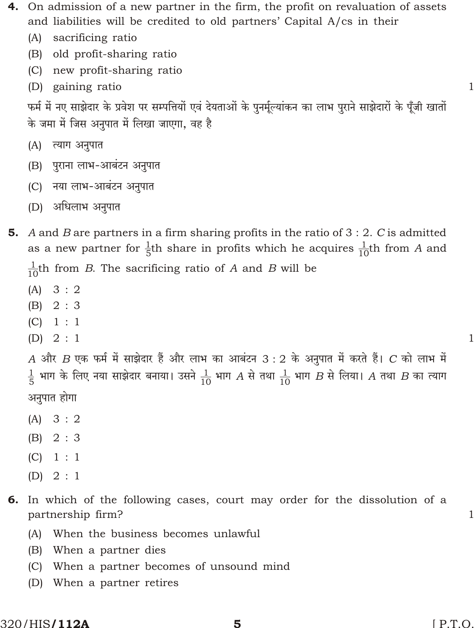- 4. On admission of a new partner in the firm, the profit on revaluation of assets and liabilities will be credited to old partners' Capital A/cs in their
	- $(A)$ sacrificing ratio
	- (B) old profit-sharing ratio
	- (C) new profit-sharing ratio
	- (D) gaining ratio

फर्म में नए साझेदार के प्रवेश पर सम्पत्तियों एवं देयताओं के पुनर्मूल्यांकन का लाभ पुराने साझेदारों के पूँजी खातों के जमा में जिस अनुपात में लिखा जाएगा, वह है

- (A) त्याग अनुपात
- (B) पुराना लाभ-आबंटन अनुपात
- (C) नया लाभ-आबंटन अनुपात
- (D) अधिलाभ अनुपात
- A and B are partners in a firm sharing profits in the ratio of 3 : 2. C is admitted 5. as a new partner for  $\frac{1}{5}$ th share in profits which he acquires  $\frac{1}{10}$ th from A and

 $\frac{1}{10}$ th from B. The sacrificing ratio of A and B will be

- $(A) 3:2$
- $(B) 2:3$
- $(C) \quad 1 : 1$
- $(D) 2 : 1$

A और B एक फर्म में साझेदार हैं और लाभ का आबंटन 3 : 2 के अनुपात में करते हैं। C को लाभ में  $\frac{1}{5}$  भाग के लिए नया साझेदार बनाया। उसने  $\frac{1}{10}$  भाग  $A$  से तथा  $\frac{1}{10}$  भाग  $B$  से लिया।  $A$  तथा  $B$  का त्याग अनुपात होगा

- $(A) 3:2$
- $(B) 2:3$
- $(C) \quad 1:1$
- $(D) 2 : 1$
- 6. In which of the following cases, court may order for the dissolution of a partnership firm?
	- $(A)$ When the business becomes unlawful
	- (B) When a partner dies
	- When a partner becomes of unsound mind  $(C)$
	- (D) When a partner retires

 $\mathbf{1}$ 

 $\mathbf{1}$ 

 $\mathbf{1}$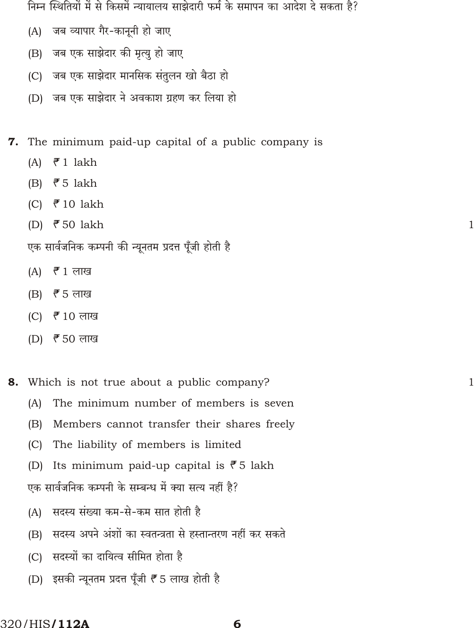निम्न स्थितियों में से किसमें न्यायालय साझेदारी फर्म के समापन का आदेश दे सकता है?

- जब व्यापार गैर-कानूनी हो जाए  $(A)$
- जब एक साझेदार की मृत्यु हो जाए  $(B)$
- (C) जब एक साझेदार मानसिक संतुलन खो बैठा हो
- (D) जब एक साझेदार ने अवकाश ग्रहण कर लिया हो

7. The minimum paid-up capital of a public company is

- $\bar{z}$  1 lakh  $(A)$
- $\bar{5}$  Jakh  $(B)$
- ₹10 lakh  $(C)$
- (D) ₹50 lakh

एक सार्वजनिक कम्पनी की न्यूनतम प्रदत्त पूँजी होती है

- $\bar{r}$  1 लाख  $(A)$
- $(B)$ *₹* 5 लाख
- $(C)$ रैँ 10 लाख
- $(D)$  ₹ 50 लाख

Which is not true about a public company? 8.

- The minimum number of members is seven  $(A)$
- $(B)$ Members cannot transfer their shares freely
- $(C)$ The liability of members is limited
- Its minimum paid-up capital is  $\bar{z}$  5 lakh  $(D)$

एक सार्वजनिक कम्पनी के सम्बन्ध में क्या सत्य नहीं है?

- (A) सदस्य संख्या कम-से-कम सात होती है
- सदस्य अपने अंशों का स्वतन्त्रता से हस्तान्तरण नहीं कर सकते  $(B)$
- (C) सदस्यों का दायित्व सीमित होता है
- (D) इसकी न्यूनतम प्रदत्त पूँजी ₹ 5 लाख होती है

 $\mathbf{1}$ 

 $\mathbf{1}$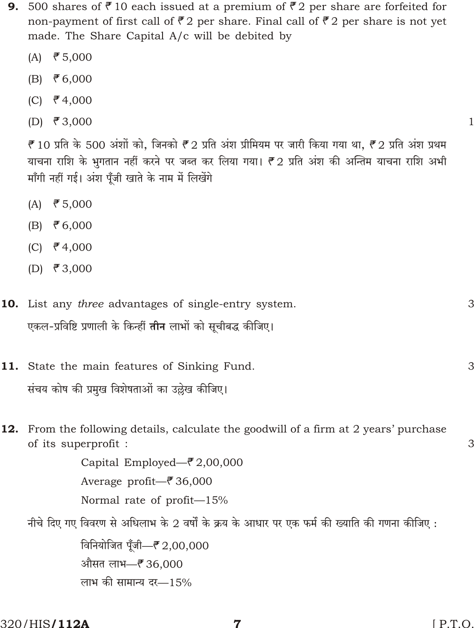- 500 shares of ₹10 each issued at a premium of ₹2 per share are forfeited for 9. non-payment of first call of ₹2 per share. Final call of ₹2 per share is not yet made. The Share Capital A/c will be debited by
	- $(A)$  ₹ 5,000
	- $(B)$ ₹ $6,000$
	- (C)  $\bar{\mathcal{F}}$  4,000
	- (D)  $\bar{\mathbf{z}}$  3,000

 $\bar{\mathcal{F}}$  10 प्रति के 500 अंशों को, जिनको  $\bar{\mathcal{F}}$  2 प्रति अंश प्रीमियम पर जारी किया गया था,  $\bar{\mathcal{F}}$  2 प्रति अंश प्रथम याचना राशि के भुगतान नहीं करने पर जब्त कर लिया गया। ₹2 प्रति अंश की अन्तिम याचना राशि अभी माँगी नहीं गई। अंश पुँजी खाते के नाम में लिखेंगे

- ₹ $5,000$  $(A)$
- $(B) \quad \overline{5}6,000$
- (C)  $\bar{\mathcal{F}}$  4,000
- (D) ₹ 3,000
- 10. List any three advantages of single-entry system. 3 एकल-प्रविष्टि प्रणाली के किन्हीं **तीन** लाभों को सुचीबद्ध कीजिए।
- 11. State the main features of Sinking Fund. संचय कोष की प्रमुख विशेषताओं का उल्लेख कीजिए।
	- From the following details, calculate the goodwill of a firm at 2 years' purchase 12. of its superprofit :

Capital Employed— $\bar{\mathcal{F}}$  2,00,000 Average profit— $\bar{\bar{\epsilon}}$ 36,000 Normal rate of profit-15%

नीचे दिए गए विवरण से अधिलाभ के 2 वर्षों के क्रय के आधार पर एक फर्म की ख्याति की गणना कीजिए :

विनियोजित पँजी- ? 2,00,000 औसत लाभ- ₹36,000 लाभ की सामान्य दर-15%

320/HIS**/112A** 

 $\mathbf{1}$ 

3

3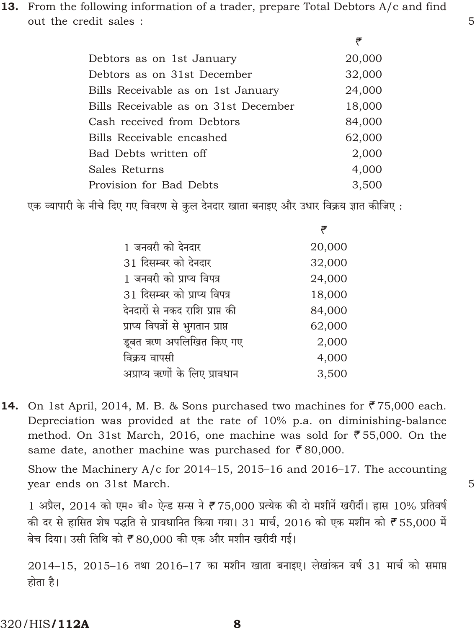13. From the following information of a trader, prepare Total Debtors A/c and find out the credit sales :

| 20,000 |
|--------|
| 32,000 |
| 24,000 |
| 18,000 |
| 84,000 |
| 62,000 |
| 2,000  |
| 4,000  |
| 3,500  |
|        |

एक व्यापारी के नीचे दिए गए विवरण से कुल देनदार खाता बनाइए और उधार विक्रय ज्ञात कीजिए :

| 1 जनवरी को देनदार                  | 20,000 |
|------------------------------------|--------|
| 31 दिसम्बर को देनदार               | 32,000 |
| 1 जनवरी को प्राप्य विपत्र          | 24,000 |
| 31 दिसम्बर को प्राप्य विपत्र       | 18,000 |
| देनदारों से नकद राशि प्राप्त की    | 84,000 |
| प्राप्य विपत्रों से भुगतान प्राप्त | 62,000 |
| डूबत ऋण अपलिखित किए गए             | 2,000  |
| विक्रय वापसी                       | 4,000  |
| अप्राप्य ऋणों के लिए प्रावधान      | 3,500  |
|                                    |        |

14. On 1st April, 2014, M. B. & Sons purchased two machines for ₹75,000 each. Depreciation was provided at the rate of 10% p.a. on diminishing-balance method. On 31st March, 2016, one machine was sold for  $\overline{5}5,000$ . On the same date, another machine was purchased for  $\bar{e}$ 80,000.

Show the Machinery A/c for 2014–15, 2015–16 and 2016–17. The accounting year ends on 31st March.

1 अप्रैल, 2014 को एम० बी० ऐन्ड सन्स ने ₹75,000 प्रत्येक की दो मशीनें खरीदीं। ह्रास 10% प्रतिवर्ष की दर से हासित शेष पद्धति से प्रावधानित किया गया। 31 मार्च, 2016 को एक मशीन को ₹55,000 में बेच दिया। उसी तिथि को ₹80.000 की एक और मशीन खरीदी गई।

 $2014-15$ ,  $2015-16$  तथा  $2016-17$  का मशीन खाता बनाइए। लेखांकन वर्ष 31 मार्च को समाप्त होता है।

5

5

 $\Rightarrow$ 

₹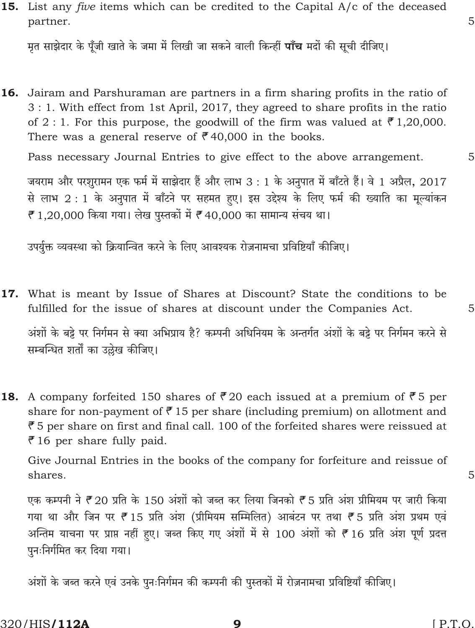अंशों के जब्त करने एवं उनके पुनःनिर्गमन की कम्पनी की पुस्तकों में रोज़नामचा प्रविष्टियाँ कीजिए।

## 15. List any *five* items which can be credited to the Capital  $A/c$  of the deceased partner.

मृत साझेदार के पूँजी खाते के जमा में लिखी जा सकने वाली किन्हीं **पाँच** मदों की सूची दीजिए।

16. Jairam and Parshuraman are partners in a firm sharing profits in the ratio of 3 : 1. With effect from 1st April, 2017, they agreed to share profits in the ratio of 2:1. For this purpose, the goodwill of the firm was valued at  $\bar{\mathcal{F}}$  1,20,000. There was a general reserve of  $\overline{e}$  40,000 in the books.

Pass necessary Journal Entries to give effect to the above arrangement.

जयराम और परशुरामन एक फर्म में साझेदार हैं और लाभ 3 : 1 के अनुपात में बाँटते हैं। वे 1 अप्रैल, 2017 से लाभ 2 : 1 के अनुपात में बाँटने पर सहमत हए। इस उद्देश्य के लिए फर्म की ख्याति का मूल्यांकन ₹ 1,20,000 किया गया। लेख पुस्तकों में ₹40,000 का सामान्य संचय था।

उपर्युक्त व्यवस्था को क्रियान्वित करने के लिए आवश्यक रोज़नामचा प्रविष्टियाँ कीजिए।

17. What is meant by Issue of Shares at Discount? State the conditions to be fulfilled for the issue of shares at discount under the Companies Act.

अंशों के बड़े पर निर्गमन से क्या अभिप्राय है? कम्पनी अधिनियम के अन्तर्गत अंशों के बड़े पर निर्गमन करने से सम्बन्धित शर्तों का उल्लेख कीजिए।

**18.** A company forfeited 150 shares of ₹20 each issued at a premium of ₹5 per share for non-payment of  $\bar{e}$  15 per share (including premium) on allotment and  $\bar{e}$  5 per share on first and final call. 100 of the forfeited shares were reissued at  $\bar{e}$  16 per share fully paid.

Give Journal Entries in the books of the company for forfeiture and reissue of shares.

एक कम्पनी ने ₹20 प्रति के 150 अंशों को जब्त कर लिया जिनको ₹5 प्रति अंश प्रीमियम पर जारी किया गया था और जिन पर ₹15 प्रति अंश (प्रीमियम सम्मिलित) आबंटन पर तथा ₹5 प्रति अंश प्रथम एवं अन्तिम याचना पर प्राप्त नहीं हुए। जब्त किए गए अंशों में से 100 अंशों को ₹16 प्रति अंश पूर्ण प्रदत्त

9

 $[$  P.T.O.

5

5

5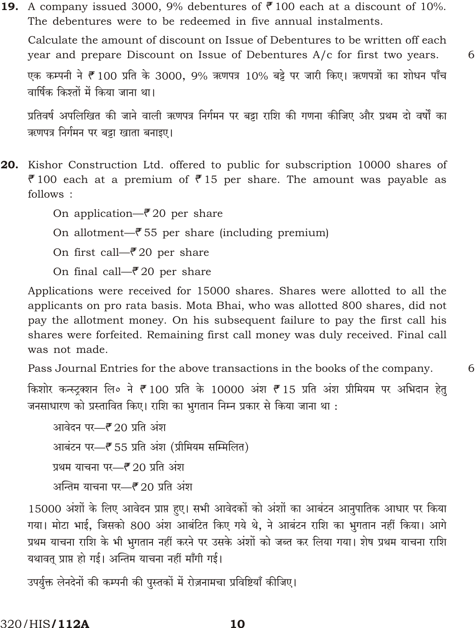**19.** A company issued 3000, 9% debentures of ₹100 each at a discount of 10%. The debentures were to be redeemed in five annual instalments.

Calculate the amount of discount on Issue of Debentures to be written off each year and prepare Discount on Issue of Debentures A/c for first two years. एक कम्पनी ने ₹100 प्रति के 3000, 9% ऋणपत्र 10% बड़े पर जारी किए। ऋणपत्रों का शोधन पाँच वार्षिक किश्तों में किया जाना था।

6

6

प्रतिवर्ष अपलिखित की जाने वाली ऋणपत्र निर्गमन पर बड़ा राशि की गणना कीजिए और प्रथम दो वर्षों का ऋणपत्र निर्गमन पर बड़ा खाता बनाइए।

20. Kishor Construction Ltd. offered to public for subscription 10000 shares of ₹100 each at a premium of ₹15 per share. The amount was payable as follows:

On application— $\bar{z}$  20 per share

On allotment— $\bar{z}$  55 per share (including premium)

On first call— $\bar{e}$  20 per share

On final call— $\bar{e}$  20 per share

Applications were received for 15000 shares. Shares were allotted to all the applicants on pro rata basis. Mota Bhai, who was allotted 800 shares, did not pay the allotment money. On his subsequent failure to pay the first call his shares were forfeited. Remaining first call money was duly received. Final call was not made.

Pass Journal Entries for the above transactions in the books of the company.

किशोर कन्स्ट्रक्शन लि० ने ₹100 प्रति के 10000 अंश ₹15 प्रति अंश प्रीमियम पर अभिदान हेतू जनसाधारण को प्रस्तावित किए। राशि का भुगतान निम्न प्रकार से किया जाना था :

आवेदन पर- ? 20 प्रति अंश आबंटन पर- हैं 55 प्रति अंश (प्रीमियम सम्मिलित) प्रथम याचना पर—₹ 20 प्रति अंश अन्तिम याचना पर—₹ 20 प्रति अंश

15000 अंशों के लिए आवेदन प्राप्त हुए। सभी आवेदकों को अंशों का आबंटन आनुपातिक आधार पर किया गया। मोटा भाई, जिसको 800 अंश आबंटित किए गये थे, ने आबंटन राशि का भुगतान नहीं किया। आगे प्रथम याचना राशि के भी भुगतान नहीं करने पर उसके अंशों को जब्त कर लिया गया। शेष प्रथम याचना राशि यथावत् प्राप्त हो गई। अन्तिम याचना नहीं माँगी गई।

उपर्युक्त लेनदेनों की कम्पनी की पुस्तकों में रोज़नामचा प्रविष्टियाँ कीजिए।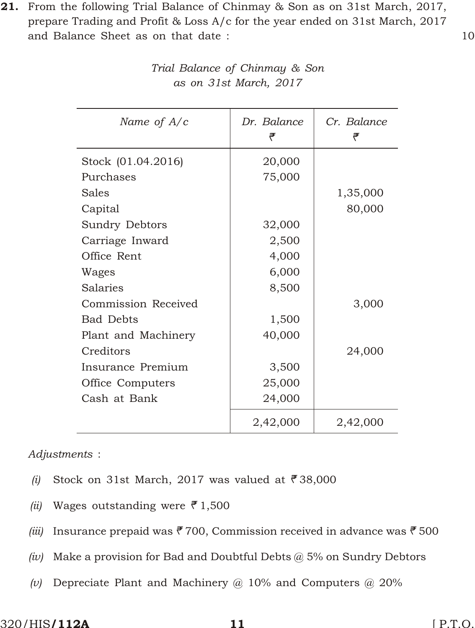21. From the following Trial Balance of Chinmay & Son as on 31st March, 2017, prepare Trading and Profit & Loss A/c for the year ended on 31st March, 2017 and Balance Sheet as on that date : 10

| Name of $A/c$       | Dr. Balance<br>₹ | Cr. Balance<br>₹ |
|---------------------|------------------|------------------|
| Stock (01.04.2016)  | 20,000           |                  |
| Purchases           | 75,000           |                  |
| Sales               |                  | 1,35,000         |
| Capital             |                  | 80,000           |
| Sundry Debtors      | 32,000           |                  |
| Carriage Inward     | 2,500            |                  |
| Office Rent         | 4,000            |                  |
| Wages               | 6,000            |                  |
| <b>Salaries</b>     | 8,500            |                  |
| Commission Received |                  | 3,000            |
| <b>Bad Debts</b>    | 1,500            |                  |
| Plant and Machinery | 40,000           |                  |
| Creditors           |                  | 24,000           |
| Insurance Premium   | 3,500            |                  |
| Office Computers    | 25,000           |                  |
| Cash at Bank        | 24,000           |                  |
|                     | 2,42,000         | 2,42,000         |

*Trial Balance of Chinmay & Son as on 31st March, 2017*

*Adjustments* :

- *(i)* Stock on 31st March, 2017 was valued at  $\bar{\mathbf{r}}$  38,000
- *(ii)* Wages outstanding were  $\bar{\mathcal{F}}$  1,500
- *(iii)* Insurance prepaid was  $\bar{F}$  700, Commission received in advance was  $\bar{F}$  500
- *(iv)* Make a provision for Bad and Doubtful Debts @ 5% on Sundry Debtors
- *(v)* Depreciate Plant and Machinery @ 10% and Computers @ 20%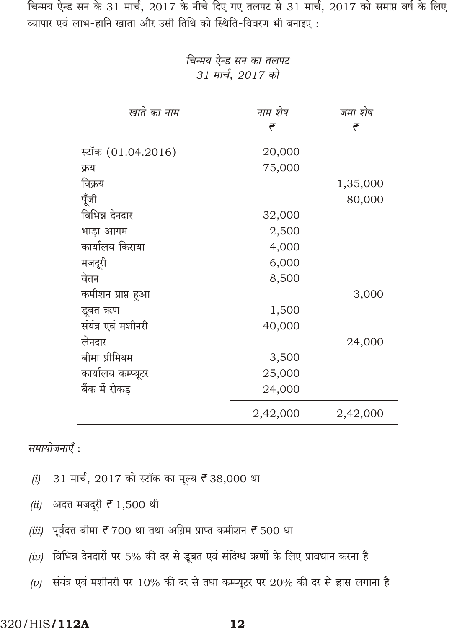चिन्मय ऐन्ड सन के 31 मार्च, 2017 के नीचे दिए गए तलपट से 31 मार्च, 2017 को समाप्त वर्ष के लिए व्यापार एवं लाभ-हानि खाता और उसी तिथि को स्थिति-विवरण भी बनाइए:

| खाते का नाम        | नाम शेष<br>₹ | जमा शेष<br>₹ |
|--------------------|--------------|--------------|
| स्टॉक (01.04.2016) | 20,000       |              |
| क्रय               | 75,000       |              |
| विक्रय             |              | 1,35,000     |
| पूँजी              |              | 80,000       |
| विभिन्न देनदार     | 32,000       |              |
| भाड़ा आगम          | 2,500        |              |
| कार्यालय किराया    | 4,000        |              |
| मजदूरी             | 6,000        |              |
| वेतन               | 8,500        |              |
| कमीशन प्राप्त हुआ  |              | 3,000        |
| डूबत ऋण            | 1,500        |              |
| संयंत्र एवं मशीनरी | 40,000       |              |
| लेनदार             |              | 24,000       |
| बीमा प्रीमियम      | 3,500        |              |
| कार्यालय कम्प्यूटर | 25,000       |              |
| बैंक में रोकड      | 24,000       |              |
|                    | 2,42,000     | 2,42,000     |

चिन्मय ऐन्ड सन का तलपट 31 मार्च, 2017 को

समायोजनाएँ :

- 31 मार्च, 2017 को स्टॉक का मूल्य ₹38,000 था  $(i)$
- अदत्त मजदूरी *₹* 1,500 थी  $(ii)$
- (iii) पूर्वदत्त बीमा ₹ 700 था तथा अग्रिम प्राप्त कमीशन ₹ 500 था
- (iv) विभिन्न देनदारों पर 5% की दर से डूबत एवं संदिग्ध ऋणों के लिए प्रावधान करना है
- (v) संयंत्र एवं मशीनरी पर 10% की दर से तथा कम्प्यूटर पर 20% की दर से ह्रास लगाना है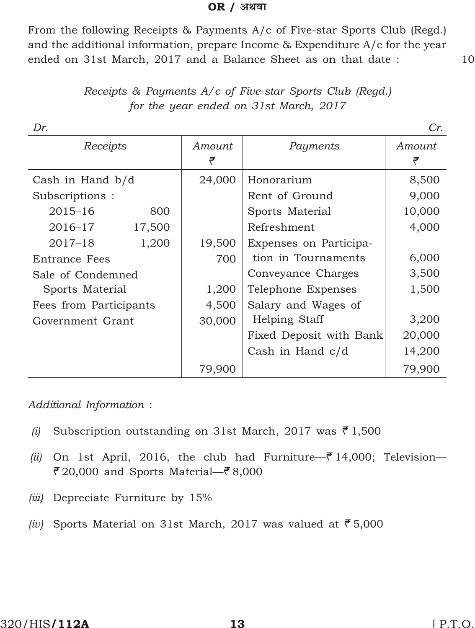### **OR** / अथवा

From the following Receipts & Payments A/c of Five-star Sports Club (Regd.) and the additional information, prepare Income & Expenditure A/c for the year ended on 31st March, 2017 and a Balance Sheet as on that date : 10

| Dr.                    |        |             |                         | Cr.         |
|------------------------|--------|-------------|-------------------------|-------------|
| Receipts               |        | Amount<br>₹ | Payments                | Amount<br>₹ |
| Cash in Hand b/d       |        | 24,000      | Honorarium              | 8,500       |
| Subscriptions:         |        |             | Rent of Ground          | 9,000       |
| $2015 - 16$            | 800    |             | Sports Material         | 10,000      |
| 2016-17                | 17,500 |             | Refreshment             | 4,000       |
| $2017 - 18$            | 1,200  | 19,500      | Expenses on Participa-  |             |
| <b>Entrance Fees</b>   |        | 700         | tion in Tournaments     | 6,000       |
| Sale of Condemned      |        |             | Conveyance Charges      | 3,500       |
| Sports Material        |        | 1,200       | Telephone Expenses      | 1,500       |
| Fees from Participants |        | 4,500       | Salary and Wages of     |             |
| Government Grant       |        | 30,000      | Helping Staff           | 3,200       |
|                        |        |             | Fixed Deposit with Bank | 20,000      |
|                        |        |             | Cash in Hand c/d        | 14,200      |
|                        |        | 79,900      |                         | 79,900      |

*Re ceipts & Payments A/c of Five-star Sports Club (Regd.) for the year ended on 31st March, 2017*

*Additional Information* :

- *(i)* Subscription outstanding on 31st March, 2017 was  $\bar{e}$  1,500
- *(ii)* On 1st April, 2016, the club had Furniture— $\bar{e}$  14,000; Television— ₹20,000 and Sports Material—₹8,000
- *(iii)* Depreciate Furniture by 15%
- *(iv)* Sports Material on 31st March, 2017 was valued at  $\overline{5}5,000$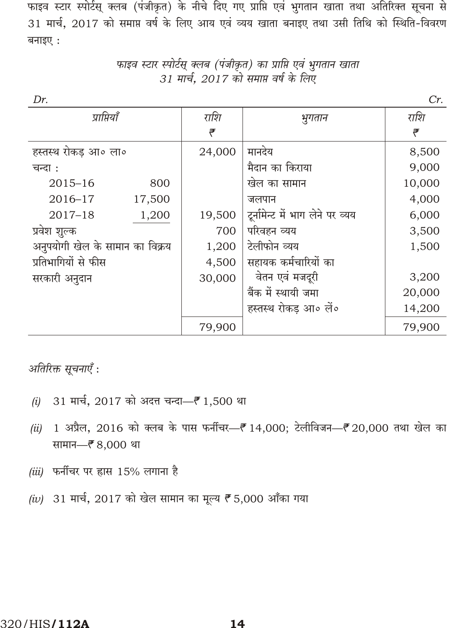फाइव स्टार स्पोर्टस् क्लब (पंजीकृत) के नीचे दिए गए प्राप्ति एवं भुगतान खाता तथा अतिरिक्त सूचना से 31 मार्च, 2017 को समाप्त वर्ष के लिए आय एवं व्यय खाता बनाइए तथा उसी तिथि को स्थिति-विवरण बनाइए:

| Dr.                             |        |        |                                  | Cr.    |
|---------------------------------|--------|--------|----------------------------------|--------|
| प्राप्तियाँ                     |        | राशि   | भुगतान                           | राशि   |
|                                 |        | ₹      |                                  | ₹      |
| हस्तस्थ रोकड़ आ॰ ला॰            |        | 24,000 | मानदेय                           | 8,500  |
| चन्दा :                         |        |        | मैदान का किराया                  | 9,000  |
| $2015 - 16$                     | 800    |        | खेल का सामान                     | 10,000 |
| $2016 - 17$                     | 17,500 |        | जलपान                            | 4,000  |
| $2017 - 18$                     | 1,200  | 19,500 | टूर्नामेन्ट में भाग लेने पर व्यय | 6,000  |
| प्रवेश शूल्क                    |        | 700    | परिवहन व्यय                      | 3,500  |
| अनुपयोगी खेल के सामान का विक्रय |        | 1,200  | टेलीफोन व्यय                     | 1,500  |
| प्रतिभागियों से फीस             |        | 4,500  | सहायक कर्मचारियों का             |        |
| सरकारी अनुदान                   |        | 30,000 | वेतन एवं मजदूरी                  | 3,200  |
|                                 |        |        | बैंक में स्थायी जमा              | 20,000 |
|                                 |        |        | हस्तस्थ रोकड आ॰ लें॰             | 14,200 |
|                                 |        | 79,900 |                                  | 79,900 |

फाइव स्टार स्पोर्टस् क्लब (पंजीकृत) का प्राप्ति एवं भुगतान खाता 31 मार्च, 2017 को समाप्त वर्ष के लिए

अतिरिक्त सूचनाएँ :

- 31 मार्च, 2017 को अदत्त चन्दा—₹ 1,500 था  $(i)$
- 1 अप्रैल, 2016 को क्लब के पास फर्नीचर- ₹14,000; टेलीविजन- ₹20,000 तथा खेल का  $(ii)$ सामान- ₹8,000 था
- (iii) फर्नीचर पर ह्रास 15% लगाना है
- (iv) 31 मार्च, 2017 को खेल सामान का मूल्य ₹5,000 आँका गया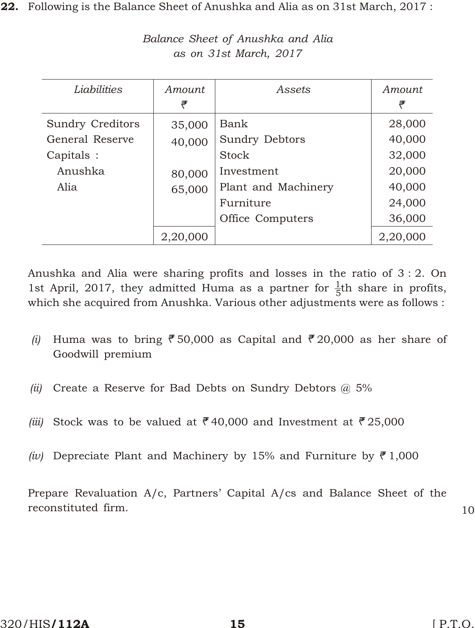22. Following is the Balance Sheet of Anushka and Alia as on 31st March, 2017:

| Liabilities             | Amount<br>₹ | Assets                | Amount<br>₹ |
|-------------------------|-------------|-----------------------|-------------|
| <b>Sundry Creditors</b> | 35,000      | Bank                  | 28,000      |
| General Reserve         | 40,000      | <b>Sundry Debtors</b> | 40,000      |
| Capitals :              |             | Stock                 | 32,000      |
| Anushka                 | 80,000      | Investment            | 20,000      |
| Alia                    | 65,000      | Plant and Machinery   | 40,000      |
|                         |             | Furniture             | 24,000      |
|                         |             | Office Computers      | 36,000      |
|                         | 2,20,000    |                       | 2,20,000    |

*Bal ance Sheet of Anushka and Alia as on 31st March, 2017*

Anushka and Alia were sharing profits and losses in the ratio of 3 : 2. On 1st April, 2017, they admitted Huma as a partner for  $\frac{1}{5}$ th share in profits, which she acquired from Anushka. Various other adjustments were as follows :

- *(i)* Huma was to bring  $\overline{5}50,000$  as Capital and  $\overline{5}20,000$  as her share of Goodwill premium
- *(ii)* Create a Reserve for Bad Debts on Sundry Debtors @ 5%
- *(iii)* Stock was to be valued at  $\overline{e}$  40,000 and Investment at  $\overline{e}$  25,000
- *(iv)* Depreciate Plant and Machinery by 15% and Furniture by  $\bar{f}$  1,000

Prepare Revaluation A/c, Partners' Capital A/cs and Balance Sheet of the reconstituted firm. 10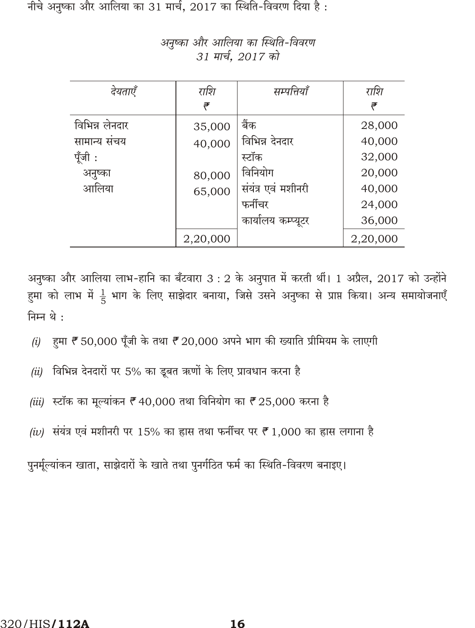नीचे अनुष्का और आलिया का 31 मार्च, 2017 का स्थिति-विवरण दिया है:

| देयताएँ        | राशि     | सम्पत्तियाँ        | राशि     |
|----------------|----------|--------------------|----------|
|                | ₹        |                    | ₹        |
| विभिन्न लेनदार | 35,000   | बैंक               | 28,000   |
| सामान्य सचय    | 40,000   | विभिन्न देनदार     | 40,000   |
| पूँजी :        |          | स्टॉक              | 32,000   |
| अनुष्का        | 80,000   | विनियोग            | 20,000   |
| आलिया          | 65,000   | संयंत्र एवं मशीनरी | 40,000   |
|                |          | फर्नीचर            | 24,000   |
|                |          | कार्यालय कम्प्यूटर | 36,000   |
|                | 2,20,000 |                    | 2,20,000 |

अनुष्का और आलिया का स्थिति-विवरण 31 मार्च, 2017 को

अनुष्का और आलिया लाभ-हानि का बँटवारा 3 : 2 के अनुपात में करती थीं। 1 अप्रैल, 2017 को उन्होंने हुमा को लाभ में  $\frac{1}{5}$  भाग के लिए साझेदार बनाया, जिसे उसने अनुष्का से प्राप्त किया। अन्य समायोजनाएँ निम्न थे :

- हुमा ₹ 50,000 पूँजी के तथा ₹ 20,000 अपने भाग की ख्याति प्रीमियम के लाएगी  $(i)$
- विभिन्न देनदारों पर 5% का डूबत ऋणों के लिए प्रावधान करना है  $(ii)$
- *(iii)* स्टॉक का मूल्यांकन ₹ 40,000 तथा विनियोग का ₹ 25,000 करना है
- (iv) संयंत्र एवं मशीनरी पर 15% का ह्रास तथा फर्नीचर पर ₹1,000 का ह्रास लगाना है

पुनर्मूल्यांकन खाता, साझेदारों के खाते तथा पुनर्गठित फर्म का स्थिति-विवरण बनाइए।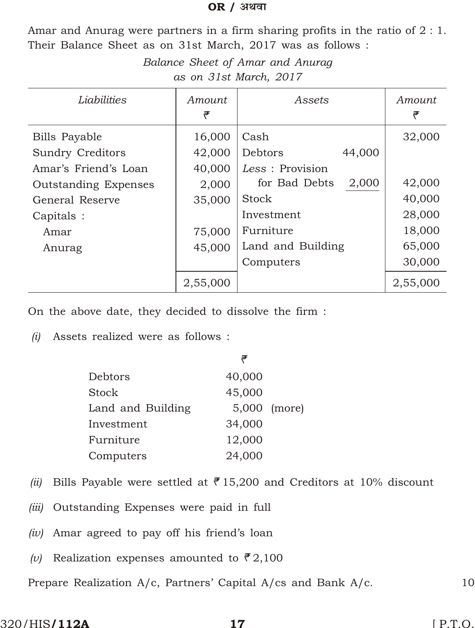### **OR** / अथवा

Amar and Anurag were partners in a firm sharing profits in the ratio of 2 : 1. Their Balance Sheet as on 31st March, 2017 was as follows :

| Balance Sheet of Amar and Anurag |
|----------------------------------|
| as on 31st March, 2017           |

| Liabilities                 | Amount<br>₹ | Assets                 | Amount<br>₹ |
|-----------------------------|-------------|------------------------|-------------|
| <b>Bills Payable</b>        | 16,000      | Cash                   | 32,000      |
| <b>Sundry Creditors</b>     | 42,000      | Debtors<br>44,000      |             |
| Amar's Friend's Loan        | 40,000      | Less : Provision       |             |
| <b>Outstanding Expenses</b> | 2,000       | 2,000<br>for Bad Debts | 42,000      |
| General Reserve             | 35,000      | Stock                  | 40,000      |
| Capitals :                  |             | Investment             | 28,000      |
| Amar                        | 75,000      | Furniture              | 18,000      |
| Anurag                      | 45,000      | Land and Building      | 65,000      |
|                             |             | Computers              | 30,000      |
|                             | 2,55,000    |                        | 2,55,000    |

On the above date, they decided to dissolve the firm :

*(i)* Assets realized were as follows :

|                   | ₹      |              |
|-------------------|--------|--------------|
| Debtors           | 40,000 |              |
| Stock             | 45,000 |              |
| Land and Building |        | 5,000 (more) |
| Investment        | 34,000 |              |
| Furniture         | 12,000 |              |
| Computers         | 24,000 |              |

- *(ii)* Bills Payable were settled at  $\overline{e}$  15,200 and Creditors at 10% discount
- *(iii)* Outstanding Expenses were paid in full
- *(iv)* Amar agreed to pay off his friend's loan
- *(v)* Realization expenses amounted to  $\bar{\mathcal{F}}$  2,100

Prepare Realization A/c, Partners' Capital A/cs and Bank A/c. 10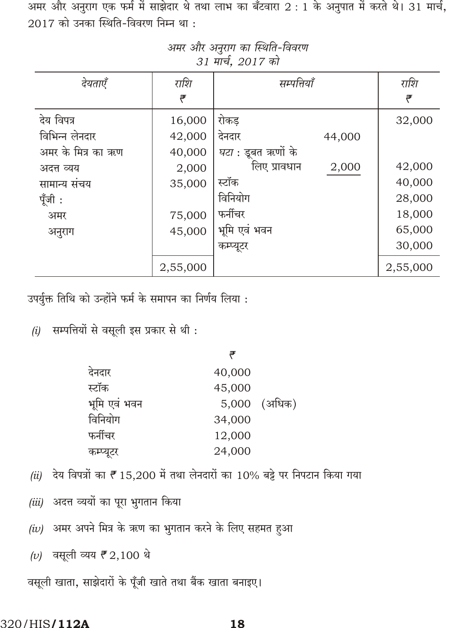अमर और अनुराग एक फर्म में साझेदार थे तथा लाभ का बँटवारा 2 : 1 के अनुपात में करते थे। 31 मार्च,  $2017$  को उनका स्थिति-विवरण निम्न था:

| देयताएँ            | राशि     | सम्पत्तियाँ               | राशि     |
|--------------------|----------|---------------------------|----------|
|                    | ₹        |                           | ₹        |
| देय विपत्र         | 16,000   | रोकड                      | 32,000   |
| विभिन्न लेनदार     | 42,000   | देनदार<br>44,000          |          |
| अमर के मित्र का ऋण | 40,000   | <i>घटा</i> : डूबत ऋणों के |          |
| अदत्त व्यय         | 2,000    | लिए प्रावधान<br>2,000     | 42,000   |
| सामान्य सचय        | 35,000   | स्टॉक                     | 40,000   |
| पूँजी :            |          | विनियोग                   | 28,000   |
| अमर                | 75,000   | फर्नीचर                   | 18,000   |
| अनुराग             | 45,000   | भूमि एवं भवन              | 65,000   |
|                    |          | कम्प्यूटर                 | 30,000   |
|                    | 2,55,000 |                           | 2,55,000 |

अमर और अनुराग का स्थिति-विवरण 31 मार्च, 2017 को

उपर्युक्त तिथि को उन्होंने फर्म के समापन का निर्णय लिया :

 $(i)$  सम्पत्तियों से वसूली इस प्रकार से थी:

|              | ₹      |              |
|--------------|--------|--------------|
| देनदार       | 40,000 |              |
| स्टॉक        | 45,000 |              |
| भूमि एवं भवन |        | 5,000 (अधिक) |
| विनियोग      | 34,000 |              |
| फर्नीचर      | 12,000 |              |
| कम्प्यूटर    | 24,000 |              |
|              |        |              |

- (ii) देय विपत्रों का ₹15,200 में तथा लेनदारों का 10% बट्टे पर निपटान किया गया
- (iii) अदत्त व्ययों का पूरा भुगतान किया
- (iv) अमर अपने मित्र के ऋण का भुगतान करने के लिए सहमत हुआ
- (v) वसूली व्यय ₹ 2,100 थे

वसूली खाता, साझेदारों के पूँजी खाते तथा बैंक खाता बनाइए।

#### 320/HIS/112A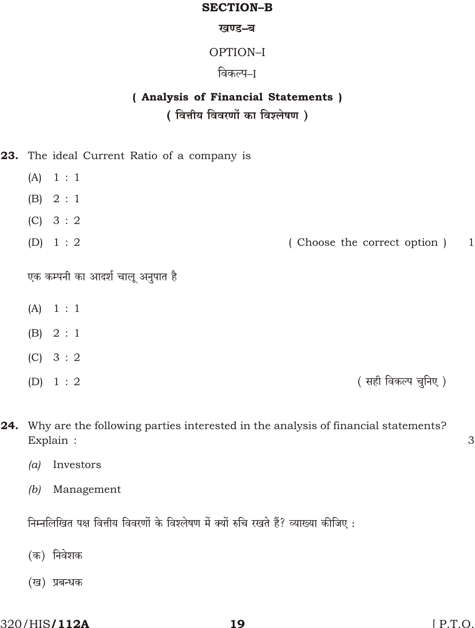### **SECTION-B**

### खण्ड-ब

## OPTION-I

## विकल्प–ा

## (Analysis of Financial Statements) (वित्तीय विवरणों का विश्लेषण)

23. The ideal Current Ratio of a company is

- $(A)$  $1:1$
- $(B) 2 : 1$
- $(C) 3:2$
- $(D) 1: 2$ (Choose the correct option)  $\mathbf{1}$

एक कम्पनी का आदर्श चालू अनुपात है

- $1:1$  $(A)$
- $(B) 2 : 1$
- $(C) 3:2$
- $(D) 1: 2$

(सही विकल्प चुनिए)

- 24. Why are the following parties interested in the analysis of financial statements? Explain :
	- Investors  $(a)$
	- $(b)$  Management

निम्नलिखित पक्ष वित्तीय विवरणों के विश्लेषण में क्यों रुचि रखते हैं? व्याख्या कीजिए:

- (क) निवेशक
- (ख) प्रबन्धक

3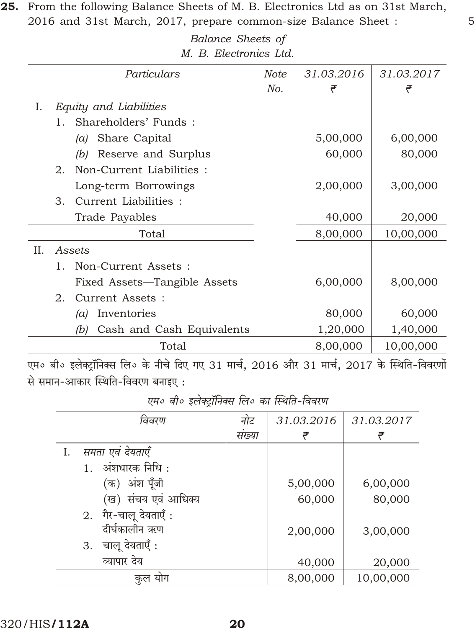25. From the following Balance Sheets of M. B. Electronics Ltd as on 31st March, 2016 and 31st March, 2017, prepare common-size Balance Sheet :

> Balance Sheets of M. B. Electronics Ltd.

5

31.03.2016 31.03.2017 Particulars **Note** No. ₹ ₹ Equity and Liabilities I. Shareholders' Funds: 1. (a) Share Capital 5,00,000 6,00,000 (b) Reserve and Surplus 60,000 80,000 2. Non-Current Liabilities : Long-term Borrowings 2,00,000 3,00,000 3. Current Liabilities : **Trade Payables** 40,000 20,000 8,00,000 10,00,000 Total  $II.$ Assets 1. Non-Current Assets : Fixed Assets-Tangible Assets 6,00,000 8,00,000 2. Current Assets : (a) Inventories 80,000 60,000 Cash and Cash Equivalents 1,20,000 1,40,000  $(b)$ Total 8,00,000 10,00,000

एम० बी० इलेक्ट्रॉनिक्स लि० के नीचे दिए गए 31 मार्च, 2016 और 31 मार्च, 2017 के स्थिति-विवरणों से समान-आकार स्थिति-विवरण बनाइए:

| $\mathbf{y}$ , and the second contract of the second contract of the second contract of the second contract of the second contract of the second contract of the second contract of the second contract of the second contract of |       |            |            |  |
|-----------------------------------------------------------------------------------------------------------------------------------------------------------------------------------------------------------------------------------|-------|------------|------------|--|
| विवरण                                                                                                                                                                                                                             | नोट   | 31.03.2016 | 31.03.2017 |  |
|                                                                                                                                                                                                                                   | सख्या |            | ₹          |  |
| समता एवं देयताएँ<br>Ι.                                                                                                                                                                                                            |       |            |            |  |
| अंशधारक निधि :                                                                                                                                                                                                                    |       |            |            |  |
| अंश पूँजी<br>(क)                                                                                                                                                                                                                  |       | 5,00,000   | 6,00,000   |  |
| (ख) संचय एवं आधिक्य                                                                                                                                                                                                               |       | 60,000     | 80,000     |  |
| 2. गैर-चालू देयताएँ:                                                                                                                                                                                                              |       |            |            |  |
| दीर्घकालीन ऋण                                                                                                                                                                                                                     |       | 2,00,000   | 3,00,000   |  |
| चालू देयताएँ :<br>3.                                                                                                                                                                                                              |       |            |            |  |
| व्यापार देय                                                                                                                                                                                                                       |       | 40,000     | 20,000     |  |
| योग<br>कल                                                                                                                                                                                                                         |       | 8,00,000   | 10,00,000  |  |

एम० बी० इलेक्टॉनिक्स लि० का स्थिति-विवरण

320/HIS**/112A**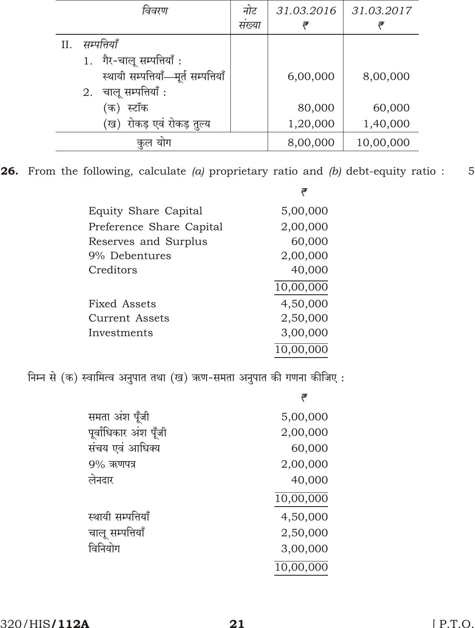|    | विवरण                                | नोट   | 31.03.2016 | 31.03.2017 |
|----|--------------------------------------|-------|------------|------------|
|    |                                      | सख्या | ₹          |            |
| Н. | सम्पत्तियाँ                          |       |            |            |
|    | 1. गैर-चालू सम्पत्तियाँ:             |       |            |            |
|    | स्थायी सम्पत्तियाँ-मूर्त सम्पत्तियाँ |       | 6,00,000   | 8,00,000   |
|    | चालू सम्पत्तियाँ :<br>2.             |       |            |            |
|    | (क) स्टॉक                            |       | 80,000     | 60,000     |
|    | (ख)  रोकड़ एवं रोकड़ तुल्य           |       | 1,20,000   | 1,40,000   |
|    | योग                                  |       | 8,00,000   | 10,00,000  |

**26.** From the following, calculate  $(a)$  proprietary ratio and  $(b)$  debt-equity ratio : 5

₹

| Equity Share Capital     | 5,00,000  |
|--------------------------|-----------|
| Preference Share Capital | 2,00,000  |
| Reserves and Surplus     | 60,000    |
| 9% Debentures            | 2,00,000  |
| Creditors                | 40,000    |
|                          | 10,00,000 |
| Fixed Assets             | 4,50,000  |
| Current Assets           | 2,50,000  |
| Investments              | 3,00,000  |
|                          | 10,00,000 |
|                          |           |

निम्न से (क) स्वामित्व अनुपात तथा (ख) ऋण-समता अनुपात की गणना कीजिए:

| समता अंश पूँजी        | 5,00,000  |
|-----------------------|-----------|
| पूर्वाधिकार अंश पूँजी | 2,00,000  |
| संचय एवं आधिक्य       | 60,000    |
| $9%$ ऋणपत्र           | 2,00,000  |
| लेनदार                | 40,000    |
|                       | 10,00,000 |
| स्थायी सम्पत्तियाँ    | 4,50,000  |
| चालू सम्पत्तियाँ      | 2,50,000  |
| विनियोग               | 3,00,000  |
|                       | 10,00,000 |
|                       |           |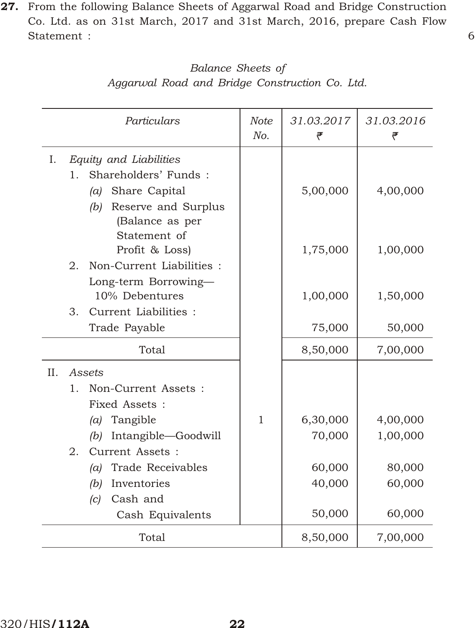27. From the following Balance Sheets of Aggarwal Road and Bridge Construction Co. Ltd. as on 31st March, 2017 and 31st March, 2016, prepare Cash Flow Statement : 6

| Balance Sheets of                              |  |  |  |  |  |
|------------------------------------------------|--|--|--|--|--|
| Aggarwal Road and Bridge Construction Co. Ltd. |  |  |  |  |  |

| Particulars                                       | Note<br>No.  | 31.03.2017<br>₹ | 31.03.2016<br>₹ |
|---------------------------------------------------|--------------|-----------------|-----------------|
| I.<br>Equity and Liabilities                      |              |                 |                 |
| Shareholders' Funds:<br>$1_{\cdot}$               |              |                 |                 |
| Share Capital<br>(a)                              |              | 5,00,000        | 4,00,000        |
| Reserve and Surplus<br>(b)                        |              |                 |                 |
| (Balance as per                                   |              |                 |                 |
| Statement of                                      |              |                 |                 |
| Profit & Loss)<br>Non-Current Liabilities :<br>2. |              | 1,75,000        | 1,00,000        |
| Long-term Borrowing-                              |              |                 |                 |
| 10% Debentures                                    |              | 1,00,000        | 1,50,000        |
| Current Liabilities :<br>3.                       |              |                 |                 |
| Trade Payable                                     |              | 75,000          | 50,000          |
| Total                                             |              | 8,50,000        | 7,00,000        |
| II.<br>Assets                                     |              |                 |                 |
| Non-Current Assets :<br>1.                        |              |                 |                 |
| Fixed Assets :                                    |              |                 |                 |
| (a) Tangible                                      | $\mathbf{1}$ | 6,30,000        | 4,00,000        |
| Intangible-Goodwill<br>(b)                        |              | 70,000          | 1,00,000        |
| Current Assets :<br>2.                            |              |                 |                 |
| Trade Receivables<br>(a)                          |              | 60,000          | 80,000          |
| Inventories<br>(b)                                |              | 40,000          | 60,000          |
| Cash and<br>(c)                                   |              |                 |                 |
| Cash Equivalents                                  |              | 50,000          | 60,000          |
| Total                                             |              | 8,50,000        | 7,00,000        |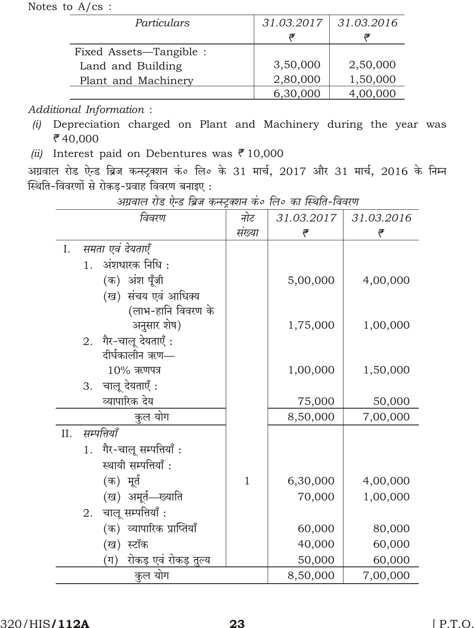Notes to  $A/cs$  :

| Particulars             | 31.03.2017 | 31.03.2016 |
|-------------------------|------------|------------|
|                         |            |            |
| Fixed Assets—Tangible : |            |            |
| Land and Building       | 3,50,000   | 2,50,000   |
| Plant and Machinery     | 2,80,000   | 1,50,000   |
|                         | 6,30,000   | 4,00,000   |

## Additional Information:

- (i) Depreciation charged on Plant and Machinery during the year was ₹40,000
- (ii) Interest paid on Debentures was  $\bar{e}$  10,000

अग्रवाल रोड ऐन्ड ब्रिज कन्स्ट्रक्शन कं० लि० के 31 मार्च, 2017 और 31 मार्च, 2016 के निम्न स्थिति-विवरणों से रोकड़-प्रवाह विवरण बनाइए:

|     | $-1$<br>विवरण                    | नोट          | 31.03.2017 | 31.03.2016 |
|-----|----------------------------------|--------------|------------|------------|
|     |                                  | संख्या       | ₹          | ₹          |
| I.  | समता एवं देयताएँ                 |              |            |            |
|     | अंशधारक निधि :<br>1.             |              |            |            |
|     | (क) अंश पूँजी                    |              | 5,00,000   | 4,00,000   |
|     | (ख) संचय एवं आधिक्य              |              |            |            |
|     | (लाभ-हानि विवरण के               |              |            |            |
|     | अनुसार शेष)                      |              | 1,75,000   | 1,00,000   |
|     | 2. गैर-चालू देयताएँ:             |              |            |            |
|     | दीर्घकालीन ऋण—                   |              |            |            |
|     | $10\%$ ऋणपत्र                    |              | 1,00,000   | 1,50,000   |
|     | 3. चालू देयताएँ:                 |              |            |            |
|     | व्यापारिक देय                    |              | 75,000     | 50,000     |
|     | कुल योग                          |              | 8,50,000   | 7,00,000   |
|     |                                  |              |            |            |
| II. | सम्पत्तियाँ                      |              |            |            |
|     | गैर-चालू सम्पत्तियाँ:<br>1.      |              |            |            |
|     | स्थायी सम्पत्तियाँ:              |              |            |            |
|     | (क) मूर्त                        | $\mathbf{1}$ | 6,30,000   | 4,00,000   |
|     | (ख) अमूर्त—ख्याति                |              | 70,000     | 1,00,000   |
|     | 2. चालू सम्पत्तियाँ :            |              |            |            |
|     | (क) व्यापारिक प्राप्तियाँ        |              | 60,000     | 80,000     |
|     | (ख) स्टॉक                        |              | 40,000     | 60,000     |
|     | रोकड़ एवं रोकड़ तुल्य<br>$(\pi)$ |              | 50,000     | 60,000     |
|     | कुल योग                          |              | 8,50,000   | 7,00,000   |

अगवाल रोड ऐन्ड बिज कन्स्टब्शन कं० लि० का स्थिति-विवरण